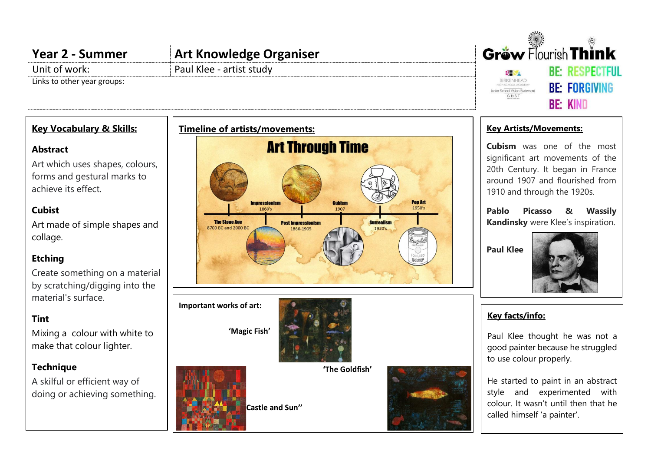#### Gräw Flourish Think **Year 2 - Summer Art Knowledge Organiser** Unit of work: Paul Klee - artist study **RF RESPECTELL BH SA** Links to other year groups: BIRKENHEAD **BE: FORGIVING** Junior School Vision Statement GDST **RF: KIND Key Vocabulary & Skills: Timeline of artists/movements: Key Artists/Movements: Art Through Time Cubism** was one of the most **Abstract** significant art movements of the Art which uses shapes, colours, 20th Century. It began in France forms and gestural marks to around 1907 and flourished from achieve its effect.

## **Cubist**

Art made of simple shapes and collage.

# **Etching**

Create something on a material by scratching/digging into the material's surface.

### **Tint**

Mixing a colour with white to make that colour lighter.

# **Technique**

A skilful or efficient way of doing or achieving something.



1910 and through the 1920s.

**Pablo Picasso & Wassily Kandinsky** were Klee's inspiration.

**Paul Klee**



# **Key facts/info:**

Paul Klee thought he was not a good painter because he struggled to use colour properly.

He started to paint in an abstract style and experimented with colour. It wasn't until then that he called himself 'a painter'.